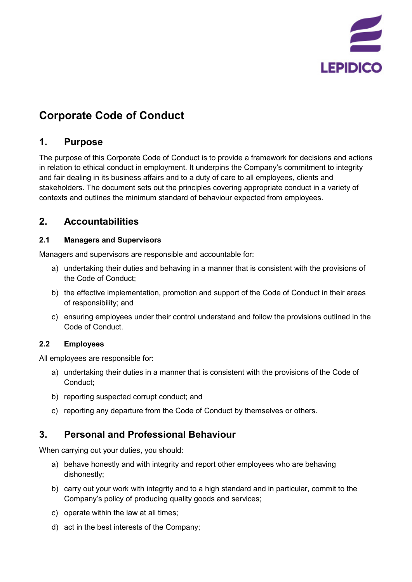

# **Corporate Code of Conduct**

#### **1. Purpose**

The purpose of this Corporate Code of Conduct is to provide a framework for decisions and actions in relation to ethical conduct in employment. It underpins the Company's commitment to integrity and fair dealing in its business affairs and to a duty of care to all employees, clients and stakeholders. The document sets out the principles covering appropriate conduct in a variety of contexts and outlines the minimum standard of behaviour expected from employees.

### **2. Accountabilities**

#### **2.1 Managers and Supervisors**

Managers and supervisors are responsible and accountable for:

- a) undertaking their duties and behaving in a manner that is consistent with the provisions of the Code of Conduct;
- b) the effective implementation, promotion and support of the Code of Conduct in their areas of responsibility; and
- c) ensuring employees under their control understand and follow the provisions outlined in the Code of Conduct.

#### **2.2 Employees**

All employees are responsible for:

- a) undertaking their duties in a manner that is consistent with the provisions of the Code of Conduct;
- b) reporting suspected corrupt conduct; and
- c) reporting any departure from the Code of Conduct by themselves or others.

#### **3. Personal and Professional Behaviour**

When carrying out your duties, you should:

- a) behave honestly and with integrity and report other employees who are behaving dishonestly;
- b) carry out your work with integrity and to a high standard and in particular, commit to the Company's policy of producing quality goods and services;
- c) operate within the law at all times;
- d) act in the best interests of the Company;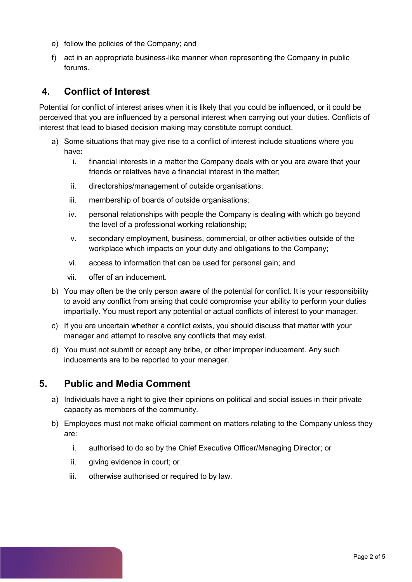- e) follow the policies of the Company; and
- f) act in an appropriate business-like manner when representing the Company in public forums.

### **4. Conflict of Interest**

Potential for conflict of interest arises when it is likely that you could be influenced, or it could be perceived that you are influenced by a personal interest when carrying out your duties. Conflicts of interest that lead to biased decision making may constitute corrupt conduct.

- a) Some situations that may give rise to a conflict of interest include situations where you have:
	- i. financial interests in a matter the Company deals with or you are aware that your friends or relatives have a financial interest in the matter;
	- ii. directorships/management of outside organisations;
	- iii. membership of boards of outside organisations;
	- iv. personal relationships with people the Company is dealing with which go beyond the level of a professional working relationship;
	- v. secondary employment, business, commercial, or other activities outside of the workplace which impacts on your duty and obligations to the Company;
	- vi. access to information that can be used for personal gain; and
	- vii. offer of an inducement.
- b) You may often be the only person aware of the potential for conflict. It is your responsibility to avoid any conflict from arising that could compromise your ability to perform your duties impartially. You must report any potential or actual conflicts of interest to your manager.
- c) If you are uncertain whether a conflict exists, you should discuss that matter with your manager and attempt to resolve any conflicts that may exist.
- d) You must not submit or accept any bribe, or other improper inducement. Any such inducements are to be reported to your manager.

#### **5. Public and Media Comment**

- a) Individuals have a right to give their opinions on political and social issues in their private capacity as members of the community.
- b) Employees must not make official comment on matters relating to the Company unless they are:
	- i. authorised to do so by the Chief Executive Officer/Managing Director; or
	- ii. giving evidence in court; or
	- iii. otherwise authorised or required to by law.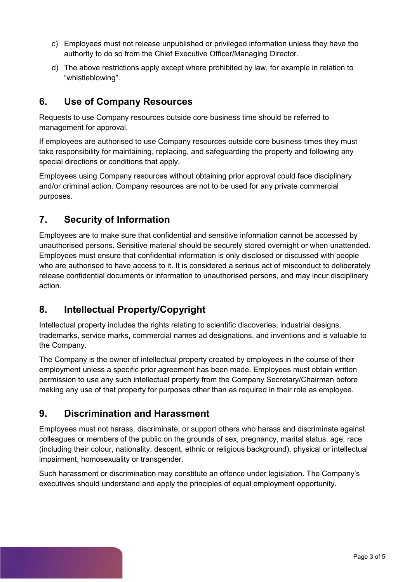- c) Employees must not release unpublished or privileged information unless they have the authority to do so from the Chief Executive Officer/Managing Director.
- d) The above restrictions apply except where prohibited by law, for example in relation to "whistleblowing".

### **6. Use of Company Resources**

Requests to use Company resources outside core business time should be referred to management for approval.

If employees are authorised to use Company resources outside core business times they must take responsibility for maintaining, replacing, and safeguarding the property and following any special directions or conditions that apply.

Employees using Company resources without obtaining prior approval could face disciplinary and/or criminal action. Company resources are not to be used for any private commercial purposes.

## **7. Security of Information**

Employees are to make sure that confidential and sensitive information cannot be accessed by unauthorised persons. Sensitive material should be securely stored overnight or when unattended. Employees must ensure that confidential information is only disclosed or discussed with people who are authorised to have access to it. It is considered a serious act of misconduct to deliberately release confidential documents or information to unauthorised persons, and may incur disciplinary action.

## **8. Intellectual Property/Copyright**

Intellectual property includes the rights relating to scientific discoveries, industrial designs, trademarks, service marks, commercial names ad designations, and inventions and is valuable to the Company.

The Company is the owner of intellectual property created by employees in the course of their employment unless a specific prior agreement has been made. Employees must obtain written permission to use any such intellectual property from the Company Secretary/Chairman before making any use of that property for purposes other than as required in their role as employee.

## **9. Discrimination and Harassment**

Employees must not harass, discriminate, or support others who harass and discriminate against colleagues or members of the public on the grounds of sex, pregnancy, marital status, age, race (including their colour, nationality, descent, ethnic or religious background), physical or intellectual impairment, homosexuality or transgender.

Such harassment or discrimination may constitute an offence under legislation. The Company's executives should understand and apply the principles of equal employment opportunity.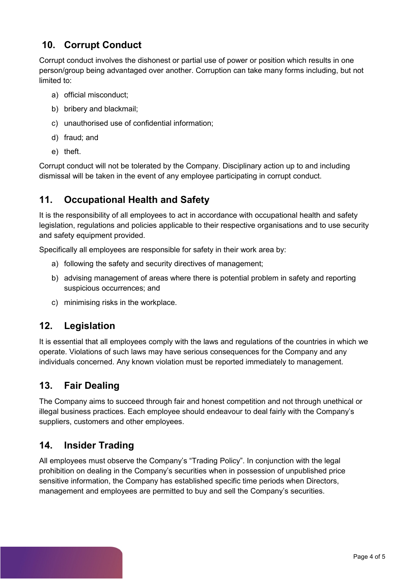### **10. Corrupt Conduct**

Corrupt conduct involves the dishonest or partial use of power or position which results in one person/group being advantaged over another. Corruption can take many forms including, but not limited to:

- a) official misconduct;
- b) bribery and blackmail;
- c) unauthorised use of confidential information;
- d) fraud; and
- e) theft.

Corrupt conduct will not be tolerated by the Company. Disciplinary action up to and including dismissal will be taken in the event of any employee participating in corrupt conduct.

## **11. Occupational Health and Safety**

It is the responsibility of all employees to act in accordance with occupational health and safety legislation, regulations and policies applicable to their respective organisations and to use security and safety equipment provided.

Specifically all employees are responsible for safety in their work area by:

- a) following the safety and security directives of management;
- b) advising management of areas where there is potential problem in safety and reporting suspicious occurrences; and
- c) minimising risks in the workplace.

#### **12. Legislation**

It is essential that all employees comply with the laws and regulations of the countries in which we operate. Violations of such laws may have serious consequences for the Company and any individuals concerned. Any known violation must be reported immediately to management.

#### **13. Fair Dealing**

The Company aims to succeed through fair and honest competition and not through unethical or illegal business practices. Each employee should endeavour to deal fairly with the Company's suppliers, customers and other employees.

#### **14. Insider Trading**

All employees must observe the Company's "Trading Policy". In conjunction with the legal prohibition on dealing in the Company's securities when in possession of unpublished price sensitive information, the Company has established specific time periods when Directors, management and employees are permitted to buy and sell the Company's securities.